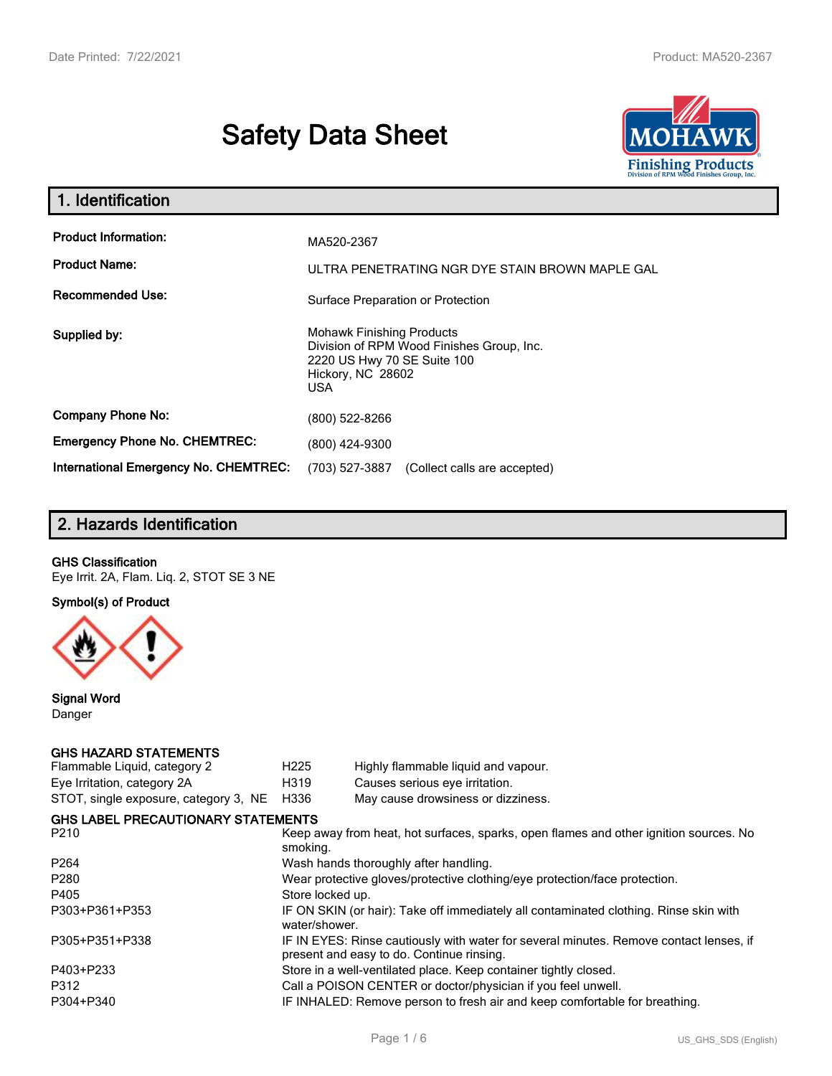# **Safety Data Sheet**



| 1. Identification                                   |                                                                                                                                                 |
|-----------------------------------------------------|-------------------------------------------------------------------------------------------------------------------------------------------------|
| <b>Product Information:</b><br><b>Product Name:</b> | MA520-2367<br>ULTRA PENETRATING NGR DYE STAIN BROWN MAPLE GAL                                                                                   |
| <b>Recommended Use:</b>                             | Surface Preparation or Protection                                                                                                               |
| Supplied by:                                        | <b>Mohawk Finishing Products</b><br>Division of RPM Wood Finishes Group, Inc.<br>2220 US Hwy 70 SE Suite 100<br>Hickory, NC 28602<br><b>USA</b> |
| <b>Company Phone No:</b>                            | (800) 522-8266                                                                                                                                  |
| <b>Emergency Phone No. CHEMTREC:</b>                | (800) 424-9300                                                                                                                                  |
| <b>International Emergency No. CHEMTREC:</b>        | (703) 527-3887<br>(Collect calls are accepted)                                                                                                  |

# **2. Hazards Identification**

### **GHS Classification**

Eye Irrit. 2A, Flam. Liq. 2, STOT SE 3 NE

**Symbol(s) of Product**



**Signal Word** Danger

### **GHS HAZARD STATEMENTS**

| H <sub>225</sub>                                                                                                                    | Highly flammable liquid and vapour.       |  |  |
|-------------------------------------------------------------------------------------------------------------------------------------|-------------------------------------------|--|--|
| H319                                                                                                                                | Causes serious eye irritation.            |  |  |
| H336                                                                                                                                | May cause drowsiness or dizziness.        |  |  |
|                                                                                                                                     |                                           |  |  |
| Keep away from heat, hot surfaces, sparks, open flames and other ignition sources. No<br>smoking.                                   |                                           |  |  |
| Wash hands thoroughly after handling.                                                                                               |                                           |  |  |
| Wear protective gloves/protective clothing/eye protection/face protection.                                                          |                                           |  |  |
| Store locked up.                                                                                                                    |                                           |  |  |
| IF ON SKIN (or hair): Take off immediately all contaminated clothing. Rinse skin with<br>water/shower.                              |                                           |  |  |
| IF IN EYES: Rinse cautiously with water for several minutes. Remove contact lenses, if<br>present and easy to do. Continue rinsing. |                                           |  |  |
| Store in a well-ventilated place. Keep container tightly closed.                                                                    |                                           |  |  |
| Call a POISON CENTER or doctor/physician if you feel unwell.                                                                        |                                           |  |  |
| IF INHALED: Remove person to fresh air and keep comfortable for breathing.                                                          |                                           |  |  |
|                                                                                                                                     | <b>GHS LABEL PRECAUTIONARY STATEMENTS</b> |  |  |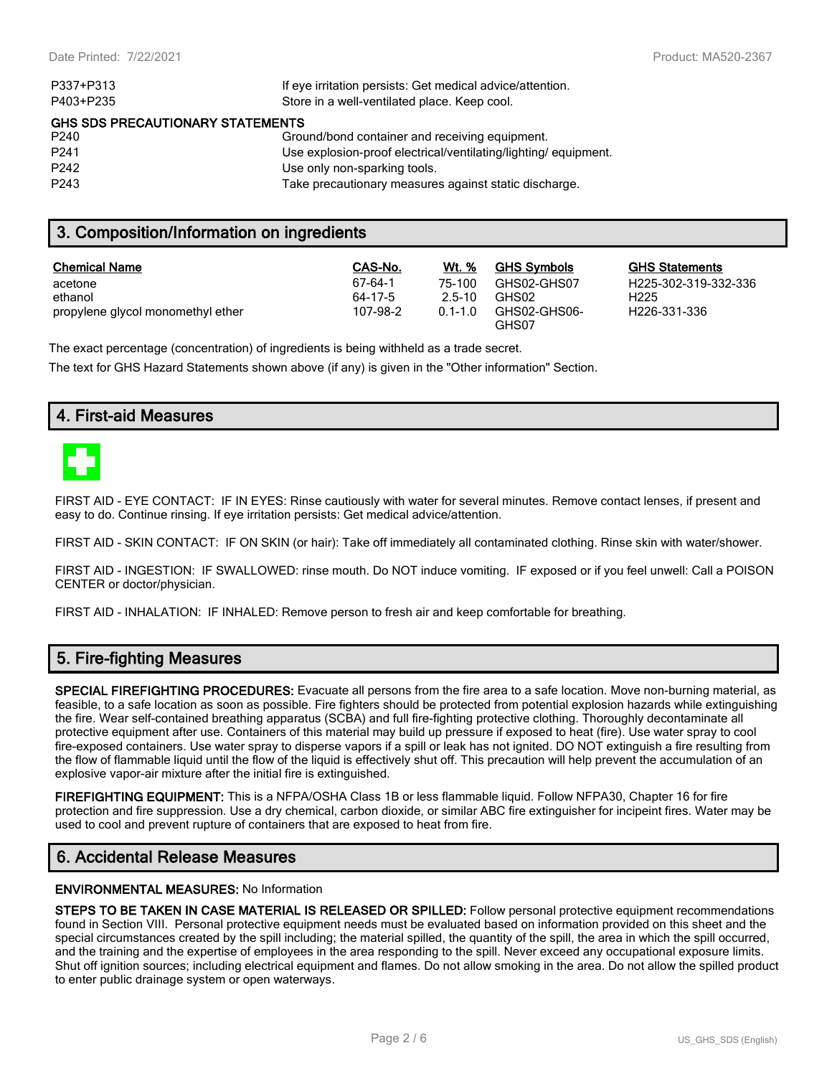| P337+P313                               | If eye irritation persists: Get medical advice/attention.      |  |  |  |
|-----------------------------------------|----------------------------------------------------------------|--|--|--|
| P403+P235                               | Store in a well-ventilated place. Keep cool.                   |  |  |  |
| <b>GHS SDS PRECAUTIONARY STATEMENTS</b> |                                                                |  |  |  |
| P240                                    | Ground/bond container and receiving equipment.                 |  |  |  |
| P <sub>241</sub>                        | Use explosion-proof electrical/ventilating/lighting/equipment. |  |  |  |
| P <sub>242</sub>                        | Use only non-sparking tools.                                   |  |  |  |
| P <sub>243</sub>                        | Take precautionary measures against static discharge.          |  |  |  |

## **3. Composition/Information on ingredients**

| <b>Chemical Name</b>              | CAS-No.  | Wt. %       | <b>GHS Symbols</b>    | GHS  |
|-----------------------------------|----------|-------------|-----------------------|------|
| acetone                           | 67-64-1  | 75-100      | GHS02-GHS07           | H225 |
| ethanol                           | 64-17-5  | $2.5 - 10$  | GHS02                 | H225 |
| propylene glycol monomethyl ether | 107-98-2 | $0.1 - 1.0$ | GHS02-GHS06-<br>GHS07 | H226 |

**GHS Statements** H225-302-319-332-336 H226-331-336

The exact percentage (concentration) of ingredients is being withheld as a trade secret.

The text for GHS Hazard Statements shown above (if any) is given in the "Other information" Section.

## **4. First-aid Measures**



FIRST AID - EYE CONTACT: IF IN EYES: Rinse cautiously with water for several minutes. Remove contact lenses, if present and easy to do. Continue rinsing. If eye irritation persists: Get medical advice/attention.

FIRST AID - SKIN CONTACT: IF ON SKIN (or hair): Take off immediately all contaminated clothing. Rinse skin with water/shower.

FIRST AID - INGESTION: IF SWALLOWED: rinse mouth. Do NOT induce vomiting. IF exposed or if you feel unwell: Call a POISON CENTER or doctor/physician.

FIRST AID - INHALATION: IF INHALED: Remove person to fresh air and keep comfortable for breathing.

## **5. Fire-fighting Measures**

**SPECIAL FIREFIGHTING PROCEDURES:** Evacuate all persons from the fire area to a safe location. Move non-burning material, as feasible, to a safe location as soon as possible. Fire fighters should be protected from potential explosion hazards while extinguishing the fire. Wear self-contained breathing apparatus (SCBA) and full fire-fighting protective clothing. Thoroughly decontaminate all protective equipment after use. Containers of this material may build up pressure if exposed to heat (fire). Use water spray to cool fire-exposed containers. Use water spray to disperse vapors if a spill or leak has not ignited. DO NOT extinguish a fire resulting from the flow of flammable liquid until the flow of the liquid is effectively shut off. This precaution will help prevent the accumulation of an explosive vapor-air mixture after the initial fire is extinguished.

**FIREFIGHTING EQUIPMENT:** This is a NFPA/OSHA Class 1B or less flammable liquid. Follow NFPA30, Chapter 16 for fire protection and fire suppression. Use a dry chemical, carbon dioxide, or similar ABC fire extinguisher for incipeint fires. Water may be used to cool and prevent rupture of containers that are exposed to heat from fire.

## **6. Accidental Release Measures**

#### **ENVIRONMENTAL MEASURES:** No Information

**STEPS TO BE TAKEN IN CASE MATERIAL IS RELEASED OR SPILLED:** Follow personal protective equipment recommendations found in Section VIII. Personal protective equipment needs must be evaluated based on information provided on this sheet and the special circumstances created by the spill including; the material spilled, the quantity of the spill, the area in which the spill occurred, and the training and the expertise of employees in the area responding to the spill. Never exceed any occupational exposure limits. Shut off ignition sources; including electrical equipment and flames. Do not allow smoking in the area. Do not allow the spilled product to enter public drainage system or open waterways.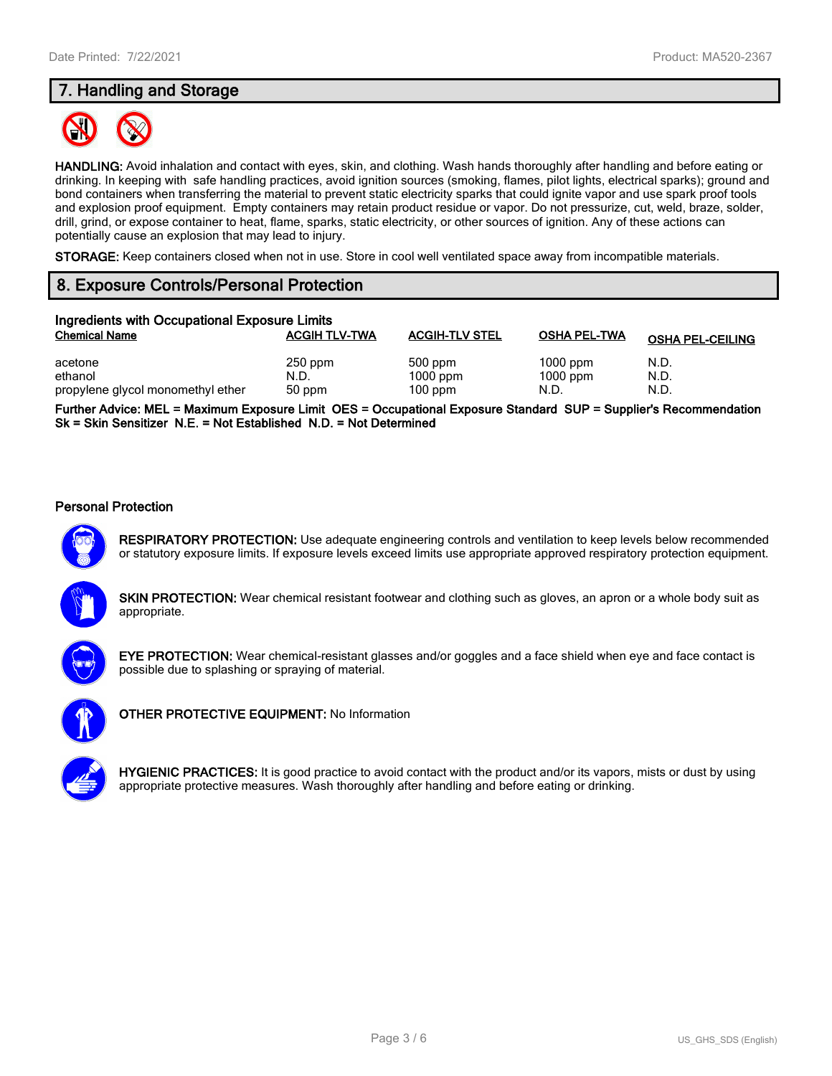# **7. Handling and Storage**



**HANDLING:** Avoid inhalation and contact with eyes, skin, and clothing. Wash hands thoroughly after handling and before eating or drinking. In keeping with safe handling practices, avoid ignition sources (smoking, flames, pilot lights, electrical sparks); ground and bond containers when transferring the material to prevent static electricity sparks that could ignite vapor and use spark proof tools and explosion proof equipment. Empty containers may retain product residue or vapor. Do not pressurize, cut, weld, braze, solder, drill, grind, or expose container to heat, flame, sparks, static electricity, or other sources of ignition. Any of these actions can potentially cause an explosion that may lead to injury.

**STORAGE:** Keep containers closed when not in use. Store in cool well ventilated space away from incompatible materials.

## **8. Exposure Controls/Personal Protection**

| Ingredients with Occupational Exposure Limits |                      |                       |                     |                         |
|-----------------------------------------------|----------------------|-----------------------|---------------------|-------------------------|
| <b>Chemical Name</b>                          | <b>ACGIH TLV-TWA</b> | <b>ACGIH-TLV STEL</b> | <b>OSHA PEL-TWA</b> | <b>OSHA PEL-CEILING</b> |
| acetone                                       | $250$ ppm            | 500 ppm               | $1000$ ppm          | N.D.                    |
| ethanol                                       | N.D.                 | $1000$ ppm            | $1000$ ppm          | N.D.                    |
| propylene glycol monomethyl ether             | 50 ppm               | $100$ ppm             | N.D.                | N.D.                    |

**Further Advice: MEL = Maximum Exposure Limit OES = Occupational Exposure Standard SUP = Supplier's Recommendation Sk = Skin Sensitizer N.E. = Not Established N.D. = Not Determined**

#### **Personal Protection**



**RESPIRATORY PROTECTION:** Use adequate engineering controls and ventilation to keep levels below recommended or statutory exposure limits. If exposure levels exceed limits use appropriate approved respiratory protection equipment.





**EYE PROTECTION:** Wear chemical-resistant glasses and/or goggles and a face shield when eye and face contact is possible due to splashing or spraying of material.



**OTHER PROTECTIVE EQUIPMENT:** No Information

**HYGIENIC PRACTICES:** It is good practice to avoid contact with the product and/or its vapors, mists or dust by using appropriate protective measures. Wash thoroughly after handling and before eating or drinking.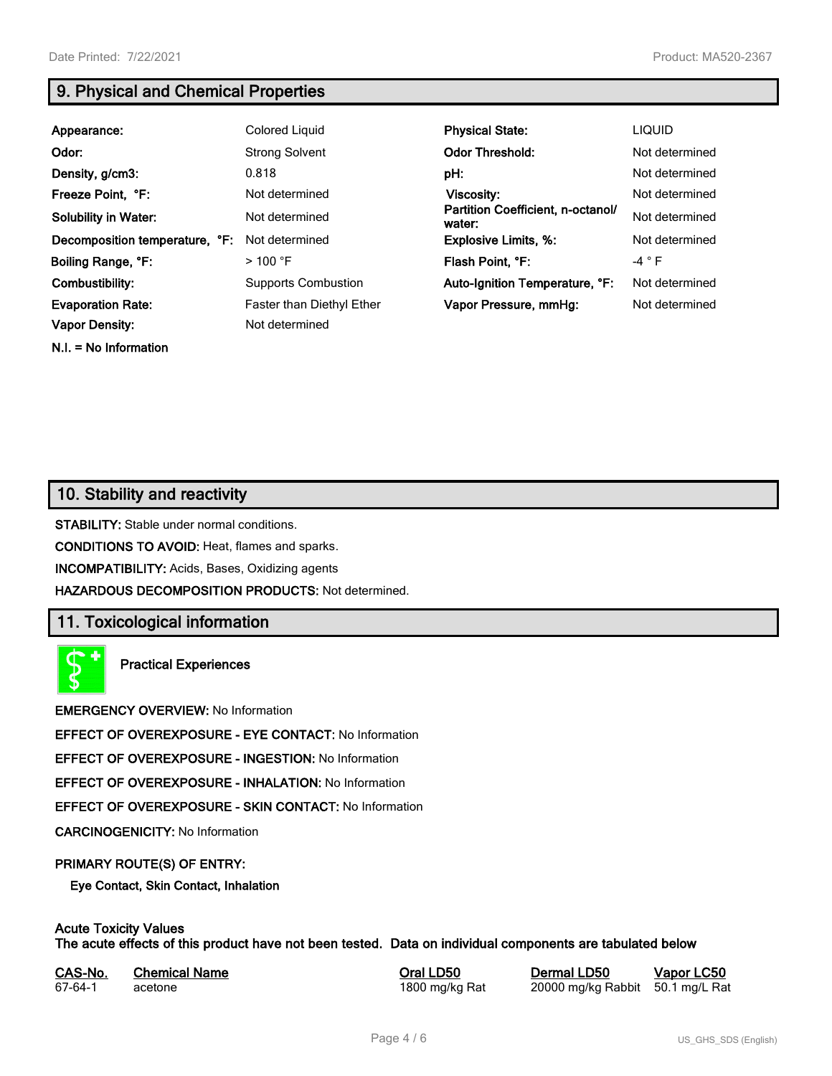**N.I. = No Information**

# **9. Physical and Chemical Properties**

| Appearance:                    | Colored Liquid                   | <b>Physical State:</b>                      | <b>LIQUID</b>  |
|--------------------------------|----------------------------------|---------------------------------------------|----------------|
| Odor:                          | <b>Strong Solvent</b>            | <b>Odor Threshold:</b>                      | Not determined |
| Density, g/cm3:                | 0.818                            | pH:                                         | Not determined |
| Freeze Point, °F:              | Not determined                   | Viscosity:                                  | Not determined |
| <b>Solubility in Water:</b>    | Not determined                   | Partition Coefficient, n-octanol/<br>water: | Not determined |
| Decomposition temperature, °F: | Not determined                   | <b>Explosive Limits, %:</b>                 | Not determined |
| Boiling Range, °F:             | $>$ 100 °F                       | Flash Point, °F:                            | $-4 ° F$       |
| Combustibility:                | <b>Supports Combustion</b>       | Auto-Ignition Temperature, °F:              | Not determined |
| <b>Evaporation Rate:</b>       | <b>Faster than Diethyl Ether</b> | Vapor Pressure, mmHg:                       | Not determined |
| <b>Vapor Density:</b>          | Not determined                   |                                             |                |

## **10. Stability and reactivity**

**STABILITY:** Stable under normal conditions.

**CONDITIONS TO AVOID:** Heat, flames and sparks.

**INCOMPATIBILITY:** Acids, Bases, Oxidizing agents

**HAZARDOUS DECOMPOSITION PRODUCTS:** Not determined.

## **11. Toxicological information**

**Practical Experiences**

**EMERGENCY OVERVIEW:** No Information

**EFFECT OF OVEREXPOSURE - EYE CONTACT:** No Information

**EFFECT OF OVEREXPOSURE - INGESTION:** No Information

**EFFECT OF OVEREXPOSURE - INHALATION:** No Information

**EFFECT OF OVEREXPOSURE - SKIN CONTACT:** No Information

**CARCINOGENICITY:** No Information

### **PRIMARY ROUTE(S) OF ENTRY:**

**Eye Contact, Skin Contact, Inhalation**

# **Acute Toxicity Values**

**The acute effects of this product have not been tested. Data on individual components are tabulated below**

| CAS-No. | <b>Chemical Name</b> |
|---------|----------------------|
| 67-64-1 | acetone              |

**Casary Chemical Chemical LD50 Chemical LD50 Vapor LC50** 1800 mg/kg Rat 20000 mg/kg Rabbit 50.1 mg/L Rat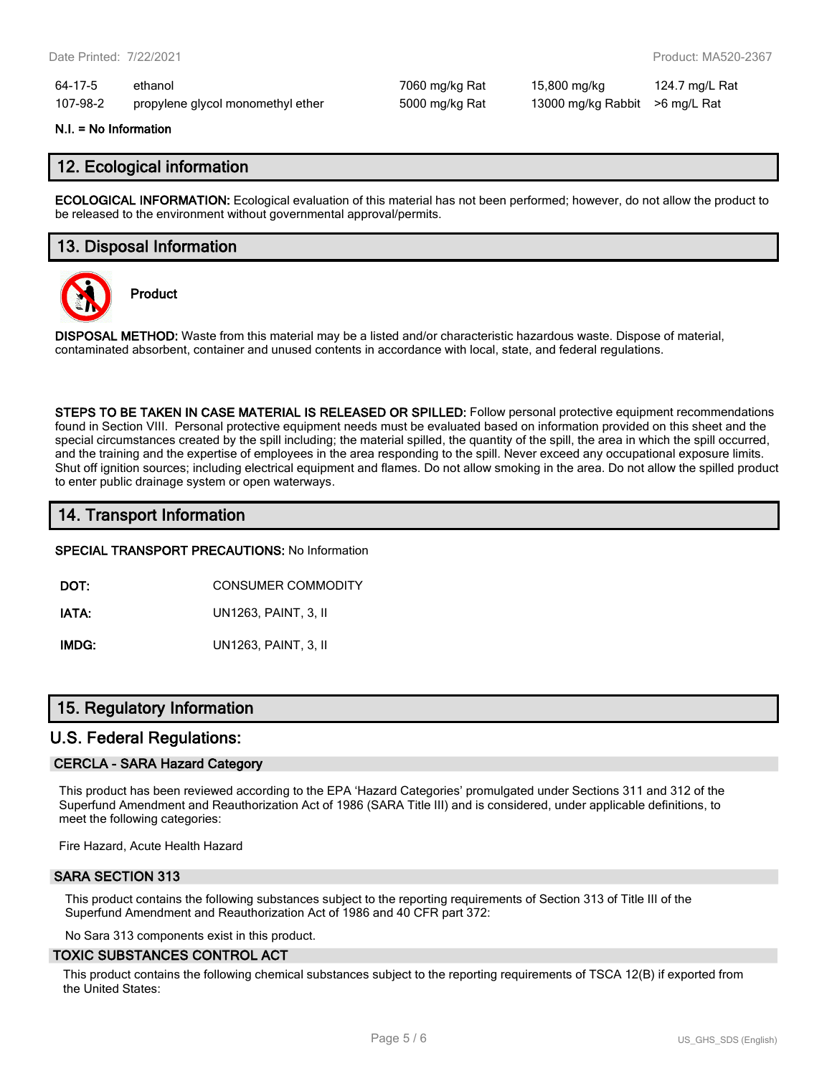64-17-5 ethanol 7060 mg/kg Rat 15,800 mg/kg 124.7 mg/L Rat 107-98-2 propylene glycol monomethyl ether 5000 mg/kg Rat 13000 mg/kg Rabbit >6 mg/L Rat

#### **N.I. = No Information**

## **12. Ecological information**

**ECOLOGICAL INFORMATION:** Ecological evaluation of this material has not been performed; however, do not allow the product to be released to the environment without governmental approval/permits.

## **13. Disposal Information**



**Product**

**DISPOSAL METHOD:** Waste from this material may be a listed and/or characteristic hazardous waste. Dispose of material, contaminated absorbent, container and unused contents in accordance with local, state, and federal regulations.

**STEPS TO BE TAKEN IN CASE MATERIAL IS RELEASED OR SPILLED:** Follow personal protective equipment recommendations found in Section VIII. Personal protective equipment needs must be evaluated based on information provided on this sheet and the special circumstances created by the spill including; the material spilled, the quantity of the spill, the area in which the spill occurred, and the training and the expertise of employees in the area responding to the spill. Never exceed any occupational exposure limits. Shut off ignition sources; including electrical equipment and flames. Do not allow smoking in the area. Do not allow the spilled product to enter public drainage system or open waterways.

## **14. Transport Information**

**SPECIAL TRANSPORT PRECAUTIONS:** No Information

**DOT:** CONSUMER COMMODITY

**IATA:** UN1263, PAINT, 3, II

**IMDG:** UN1263, PAINT, 3, II

## **15. Regulatory Information**

## **U.S. Federal Regulations:**

### **CERCLA - SARA Hazard Category**

This product has been reviewed according to the EPA 'Hazard Categories' promulgated under Sections 311 and 312 of the Superfund Amendment and Reauthorization Act of 1986 (SARA Title III) and is considered, under applicable definitions, to meet the following categories:

Fire Hazard, Acute Health Hazard

### **SARA SECTION 313**

This product contains the following substances subject to the reporting requirements of Section 313 of Title III of the Superfund Amendment and Reauthorization Act of 1986 and 40 CFR part 372:

No Sara 313 components exist in this product.

#### **TOXIC SUBSTANCES CONTROL ACT**

This product contains the following chemical substances subject to the reporting requirements of TSCA 12(B) if exported from the United States: